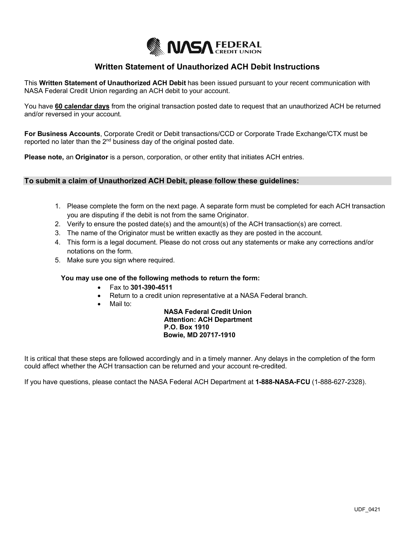

## **Written Statement of Unauthorized ACH Debit Instructions**

This **Written Statement of Unauthorized ACH Debit** has been issued pursuant to your recent communication with NASA Federal Credit Union regarding an ACH debit to your account.

You have **60 calendar days** from the original transaction posted date to request that an unauthorized ACH be returned and/or reversed in your account.

**For Business Accounts**, Corporate Credit or Debit transactions/CCD or Corporate Trade Exchange/CTX must be reported no later than the  $2<sup>nd</sup>$  business day of the original posted date.

**Please note,** an **Originator** is a person, corporation, or other entity that initiates ACH entries.

## **To submit a claim of Unauthorized ACH Debit, please follow these guidelines:**

- 1. Please complete the form on the next page. A separate form must be completed for each ACH transaction you are disputing if the debit is not from the same Originator.
- 2. Verify to ensure the posted date(s) and the amount(s) of the ACH transaction(s) are correct.
- 3. The name of the Originator must be written exactly as they are posted in the account.
- 4. This form is a legal document. Please do not cross out any statements or make any corrections and/or notations on the form.
- 5. Make sure you sign where required.

#### **You may use one of the following methods to return the form:**

- Fax to **301-390-4511**
- Return to a credit union representative at a NASA Federal branch.
- Mail to:

 **NASA Federal Credit Union Attention: ACH Department P.O. Box 1910 Bowie, MD 20717-1910**

It is critical that these steps are followed accordingly and in a timely manner. Any delays in the completion of the form could affect whether the ACH transaction can be returned and your account re-credited.

If you have questions, please contact the NASA Federal ACH Department at **1-888-NASA-FCU** (1-888-627-2328).